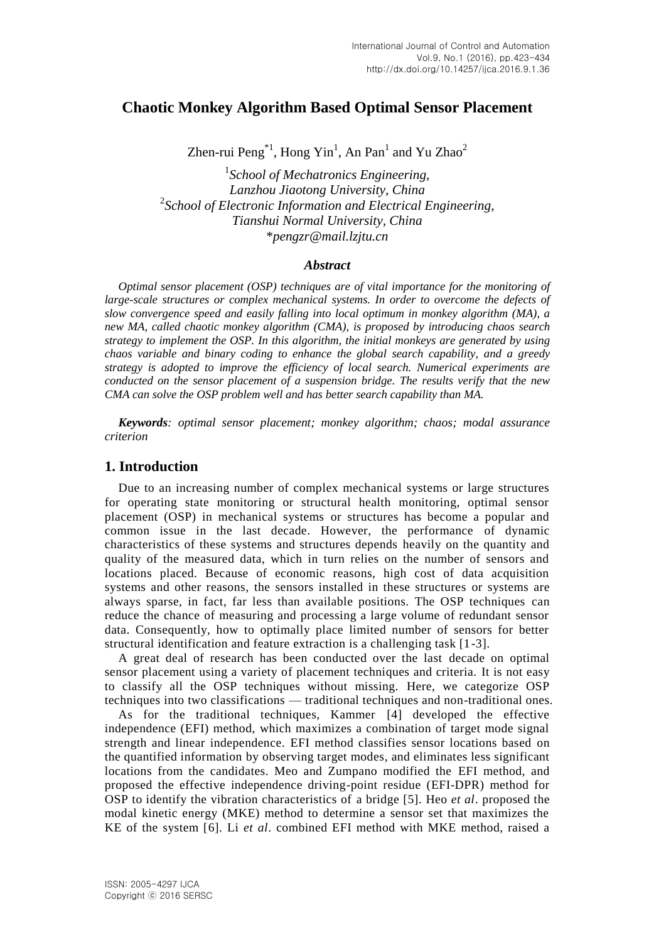# **Chaotic Monkey Algorithm Based Optimal Sensor Placement**

Zhen-rui Peng<sup>\*1</sup>, Hong Yin<sup>1</sup>, An Pan<sup>1</sup> and Yu Zhao<sup>2</sup>

1 *School of Mechatronics Engineering, Lanzhou Jiaotong University, China* 2 *School of Electronic Information and Electrical Engineering, Tianshui Normal University, China* \**pengzr@mail.lzjtu.cn*

## *Abstract*

*Optimal sensor placement (OSP) techniques are of vital importance for the monitoring of large-scale structures or complex mechanical systems. In order to overcome the defects of slow convergence speed and easily falling into local optimum in monkey algorithm (MA), a new MA, called chaotic monkey algorithm (CMA), is proposed by introducing chaos search strategy to implement the OSP. In this algorithm, the initial monkeys are generated by using chaos variable and binary coding to enhance the global search capability, and a greedy strategy is adopted to improve the efficiency of local search. Numerical experiments are conducted on the sensor placement of a suspension bridge. The results verify that the new CMA can solve the OSP problem well and has better search capability than MA.*

*Keywords: optimal sensor placement; monkey algorithm; chaos; modal assurance criterion*

## **1. Introduction**

Due to an increasing number of complex mechanical systems or large structures for operating state monitoring or structural health monitoring, optimal sensor placement (OSP) in mechanical systems or structures has become a popular and common issue in the last decade. However, the performance of dynamic characteristics of these systems and structures depends heavily on the quantity and quality of the measured data, which in turn relies on the number of sensors and locations placed. Because of economic reasons, high cost of data acquisition systems and other reasons, the sensors installed in these structures or systems are always sparse, in fact, far less than available positions. The OSP techniques can reduce the chance of measuring and processing a large volume of redundant sensor data. Consequently, how to optimally place limited number of sensors for better structural identification and feature extraction is a challenging task [1-3].

A great deal of research has been conducted over the last decade on optimal sensor placement using a variety of placement techniques and criteria. It is not easy to classify all the OSP techniques without missing. Here, we categorize OSP techniques into two classifications — traditional techniques and non-traditional ones.

As for the traditional techniques, Kammer [4] developed the effective independence (EFI) method, which maximizes a combination of target mode signal strength and linear independence. EFI method classifies sensor locations based on the quantified information by observing target modes, and eliminates less significant locations from the candidates. Meo and Zumpano modified the EFI method, and proposed the effective independence driving-point residue (EFI-DPR) method for OSP to identify the vibration characteristics of a bridge [5]. Heo *et al*. proposed the modal kinetic energy (MKE) method to determine a sensor set that maximizes the KE of the system [6]. Li *et al*. combined EFI method with MKE method, raised a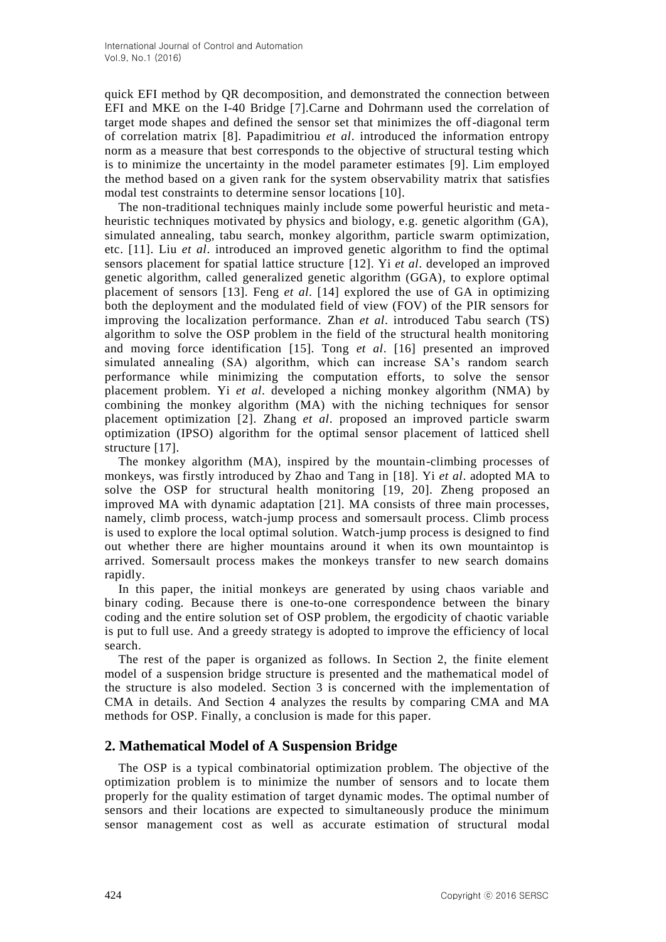quick EFI method by QR decomposition, and demonstrated the connection between EFI and MKE on the I-40 Bridge [7].Carne and Dohrmann used the correlation of target mode shapes and defined the sensor set that minimizes the off-diagonal term of correlation matrix [8]. Papadimitriou *et al*. introduced the information entropy norm as a measure that best corresponds to the objective of structural testing which is to minimize the uncertainty in the model parameter estimates [9]. Lim employed the method based on a given rank for the system observability matrix that satisfies modal test constraints to determine sensor locations [10].

The non-traditional techniques mainly include some powerful heuristic and meta heuristic techniques motivated by physics and biology, e.g. genetic algorithm (GA), simulated annealing, tabu search, monkey algorithm, particle swarm optimization, etc. [11]. Liu *et al*. introduced an improved genetic algorithm to find the optimal sensors placement for spatial lattice structure [12]. Yi *et al*. developed an improved genetic algorithm, called generalized genetic algorithm (GGA), to explore optimal placement of sensors [13]. Feng *et al*. [14] explored the use of GA in optimizing both the deployment and the modulated field of view (FOV) of the PIR sensors for improving the localization performance. Zhan *et al*. introduced Tabu search (TS) algorithm to solve the OSP problem in the field of the structural health monitoring and moving force identification [15]. Tong *et al*. [16] presented an improved simulated annealing (SA) algorithm, which can increase SA's random search performance while minimizing the computation efforts, to solve the sensor placement problem. Yi *et al*. developed a niching monkey algorithm (NMA) by combining the monkey algorithm (MA) with the niching techniques for sensor placement optimization [2]. Zhang *et al*. proposed an improved particle swarm optimization (IPSO) algorithm for the optimal sensor placement of latticed shell structure [17].

The monkey algorithm (MA), inspired by the mountain-climbing processes of monkeys, was firstly introduced by Zhao and Tang in [18]. Yi *et al*. adopted MA to solve the OSP for structural health monitoring [19, 20]. Zheng proposed an improved MA with dynamic adaptation [21]. MA consists of three main processes, namely, climb process, watch-jump process and somersault process. Climb process is used to explore the local optimal solution. Watch-jump process is designed to find out whether there are higher mountains around it when its own mountaintop is arrived. Somersault process makes the monkeys transfer to new search domains rapidly.

In this paper, the initial monkeys are generated by using chaos variable and binary coding. Because there is one-to-one correspondence between the binary coding and the entire solution set of OSP problem, the ergodicity of chaotic variable is put to full use. And a greedy strategy is adopted to improve the efficiency of local search.

The rest of the paper is organized as follows. In Section 2, the finite element model of a suspension bridge structure is presented and the mathematical model of the structure is also modeled. Section 3 is concerned with the implementation of CMA in details. And Section 4 analyzes the results by comparing CMA and MA methods for OSP. Finally, a conclusion is made for this paper.

## **2. Mathematical Model of A Suspension Bridge**

The OSP is a typical combinatorial optimization problem. The objective of the optimization problem is to minimize the number of sensors and to locate them properly for the quality estimation of target dynamic modes. The optimal number of sensors and their locations are expected to simultaneously produce the minimum sensor management cost as well as accurate estimation of structural modal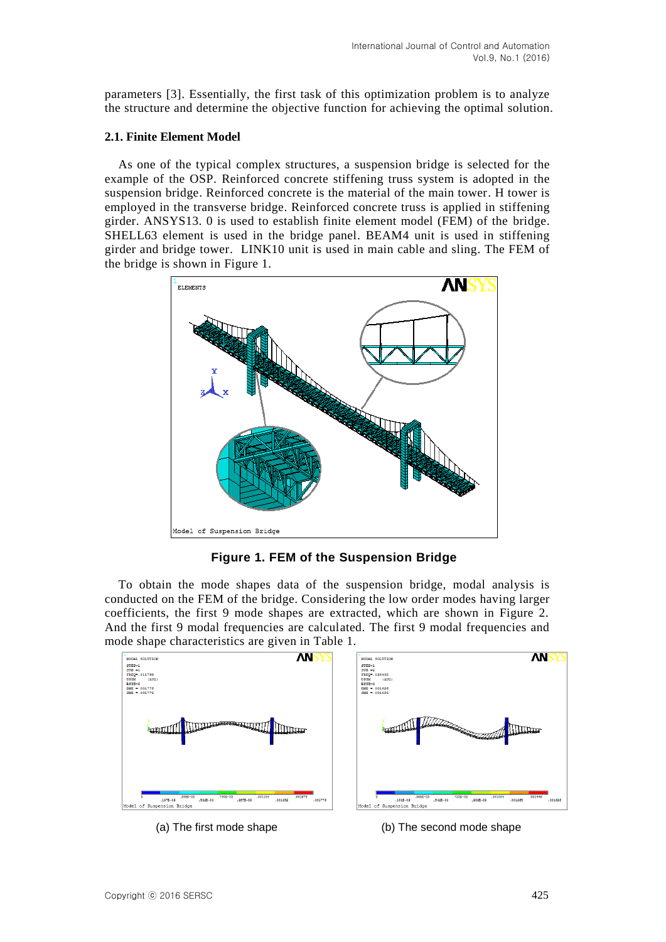parameters [3]. Essentially, the first task of this optimization problem is to analyze the structure and determine the objective function for achieving the optimal solution.

### **2.1. Finite Element Model**

As one of the typical complex structures, a suspension bridge is selected for the example of the OSP. Reinforced concrete stiffening truss system is adopted in the suspension bridge. Reinforced concrete is the material of the main tower. H tower is employed in the transverse bridge. Reinforced concrete truss is applied in stiffening girder. ANSYS13. 0 is used to establish finite element model (FEM) of the bridge. SHELL63 element is used in the bridge panel. BEAM4 unit is used in stiffening girder and bridge tower. LINK10 unit is used in main cable and sling. The FEM of the bridge is shown in Figure 1.



**Figure 1. FEM of the Suspension Bridge**

To obtain the mode shapes data of the suspension bridge, modal analysis is conducted on the FEM of the bridge. Considering the low order modes having larger coefficients, the first 9 mode shapes are extracted, which are shown in Figure 2. And the first 9 modal frequencies are calculated. The first 9 modal frequencies and mode shape characteristics are given in Table 1.



(a) The first mode shape (b) The second mode shape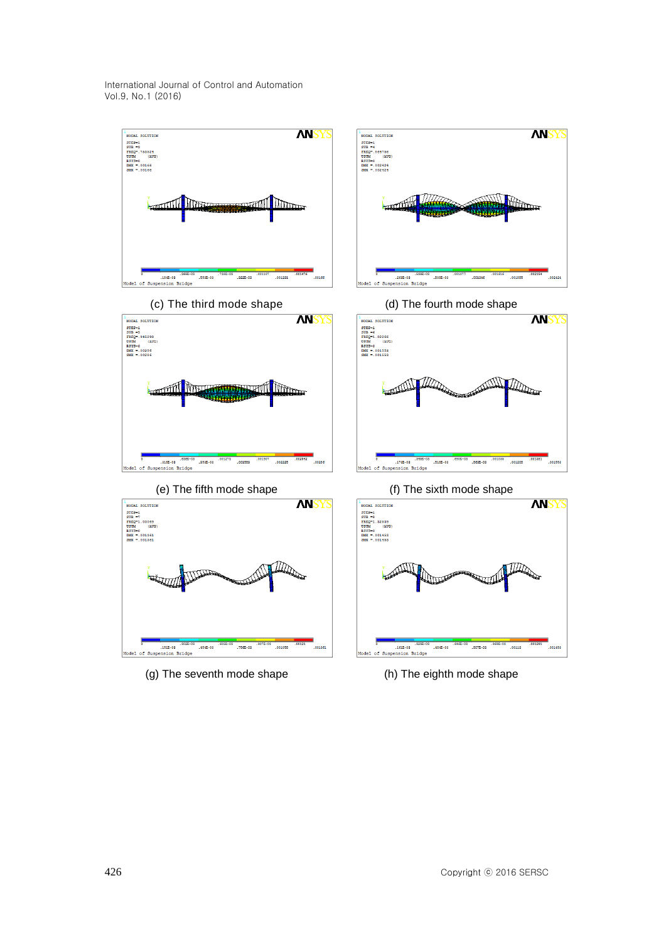International Journal of Control and Automation Vol.9, No.1 (2016)

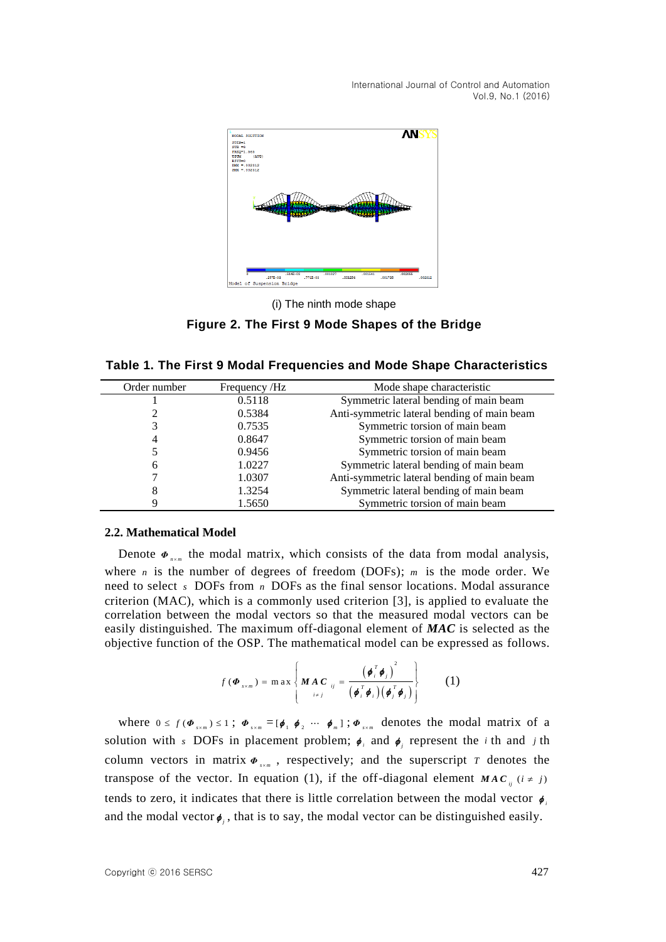International Journal of Control and Automation Vol.9, No.1 (2016)





**Figure 2. The First 9 Mode Shapes of the Bridge**

| Table 1. The First 9 Modal Frequencies and Mode Shape Characteristics |  |  |
|-----------------------------------------------------------------------|--|--|
|-----------------------------------------------------------------------|--|--|

| Order number | Frequency /Hz | Mode shape characteristic                   |
|--------------|---------------|---------------------------------------------|
|              | 0.5118        | Symmetric lateral bending of main beam      |
|              | 0.5384        | Anti-symmetric lateral bending of main beam |
|              | 0.7535        | Symmetric torsion of main beam              |
| 4            | 0.8647        | Symmetric torsion of main beam              |
| 5            | 0.9456        | Symmetric torsion of main beam              |
| 6            | 1.0227        | Symmetric lateral bending of main beam      |
|              | 1.0307        | Anti-symmetric lateral bending of main beam |
| 8            | 1.3254        | Symmetric lateral bending of main beam      |
|              | 1.5650        | Symmetric torsion of main beam              |

### **2.2. Mathematical Model**

Denote  $\Phi_{\text{max}}$  the modal matrix, which consists of the data from modal analysis, where  $n$  is the number of degrees of freedom (DOFs);  $m$  is the mode order. We need to select *s* DOFs from *n* DOFs as the final sensor locations. Modal assurance criterion (MAC), which is a commonly used criterion [3], is applied to evaluate the correlation between the modal vectors so that the measured modal vectors can be easily distinguished. The maximum off-diagonal element of *MAC* is selected as the objective function of the OSP. The mathematical model can be expressed as follows.

$$
f(\boldsymbol{\Phi}_{s \times m}) = \max \left\{ \boldsymbol{M} \boldsymbol{A} \boldsymbol{C}_{ij} = \frac{\left( \boldsymbol{\phi}_{i}^{T} \boldsymbol{\phi}_{j} \right)^{2}}{\left( \boldsymbol{\phi}_{i}^{T} \boldsymbol{\phi}_{i} \right) \left( \boldsymbol{\phi}_{j}^{T} \boldsymbol{\phi}_{j} \right)} \right\}
$$
(1)

where  $0 \le f(\Phi_{s \times m}) \le 1$ ;  $\Phi_{s \times m} = [\phi_1 \phi_2 \cdots \phi_m]$ ;  $\Phi_{s \times m}$  denotes the modal matrix of a solution with *s* DOFs in placement problem;  $\phi_i$  and  $\phi_j$  represent the *i* th and *j* th column vectors in matrix  $\boldsymbol{\Phi}_{s_{x_m}}$ , respectively; and the superscript *T* denotes the transpose of the vector. In equation (1), if the off-diagonal element  $M A C_{ij}$  ( $i \neq j$ ) tends to zero, it indicates that there is little correlation between the modal vector  $\phi$ and the modal vector  $\phi$ <sub>*j*</sub>, that is to say, the modal vector can be distinguished easily.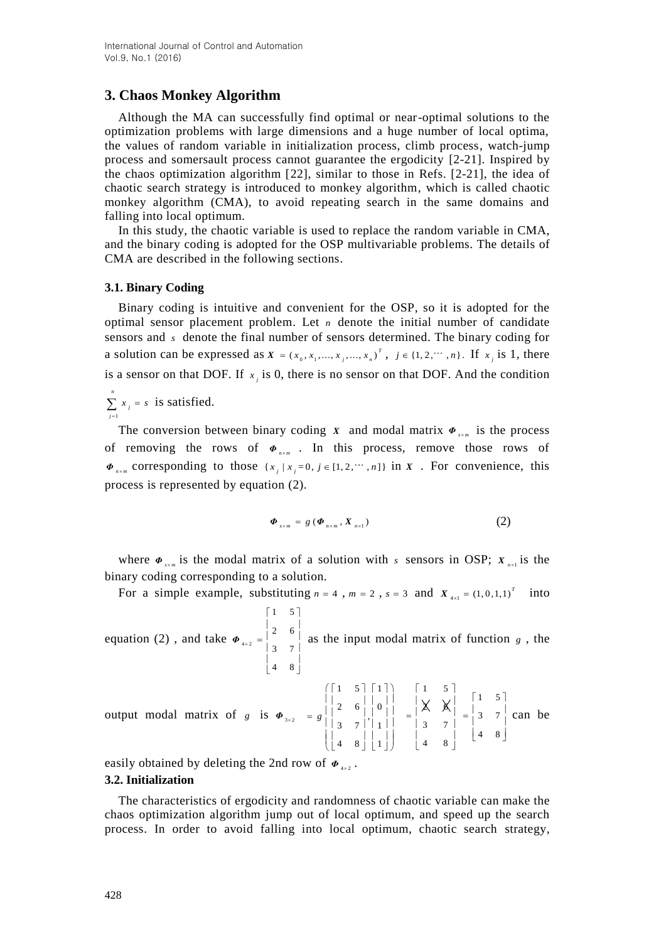# **3. Chaos Monkey Algorithm**

Although the MA can successfully find optimal or near-optimal solutions to the optimization problems with large dimensions and a huge number of local optima, the values of random variable in initialization process, climb process, watch-jump process and somersault process cannot guarantee the ergodicity [2-21]. Inspired by the chaos optimization algorithm [22], similar to those in Refs. [2-21], the idea of chaotic search strategy is introduced to monkey algorithm, which is called chaotic monkey algorithm (CMA), to avoid repeating search in the same domains and falling into local optimum.

In this study, the chaotic variable is used to replace the random variable in CMA, and the binary coding is adopted for the OSP multivariable problems. The details of CMA are described in the following sections.

## **3.1. Binary Coding**

Binary coding is intuitive and convenient for the OSP, so it is adopted for the optimal sensor placement problem. Let  $n$  denote the initial number of candidate sensors and *s* denote the final number of sensors determined. The binary coding for a solution can be expressed as  $X = (x_0, x_1, \dots, x_j, \dots, x_n)^T$ ,  $j \in \{1, 2, \dots, n\}$ . If  $x_j$  is 1, there is a sensor on that DOF. If  $x_j$  is 0, there is no sensor on that DOF. And the condition

1 *n j j*  $x_i = s$  $\sum_{j=1} x_j = s$  is satisfied.

The conversion between binary coding  $X$  and modal matrix  $\boldsymbol{\varphi}_{s_{x_m}}$  is the process of removing the rows of  $\Phi_{n \times m}$ . In this process, remove those rows of  $\Phi_{n \times m}$  corresponding to those  $\{x_j | x_j = 0, j \in [1, 2, \dots, n]\}$  in *X*. For convenience, this process is represented by equation (2).

$$
\boldsymbol{\Phi}_{s \times m} = g \left( \boldsymbol{\Phi}_{n \times m}, \boldsymbol{X}_{n \times 1} \right) \tag{2}
$$

where  $\Phi_{\text{sym}}$  is the modal matrix of a solution with *s* sensors in OSP;  $X_{\text{max}}$  is the binary coding corresponding to a solution.

For a simple example, substituting  $n = 4$ ,  $m = 2$ ,  $s = 3$  and  $X_{4 \times 1} = (1, 0, 1, 1)^T$  into

equation (2), and take  $\boldsymbol{\varPhi}_{4\times 2}$ 1 5 2 6 3 7 4 8  $\begin{vmatrix} 1 & 5 \end{vmatrix}$  $\vert$   $\vert$  $=\begin{vmatrix} 2 & 0 \\ 3 & 7 \end{vmatrix}$  $\vert \hspace{.8cm} \vert$  $\begin{bmatrix} 4 & 8 \end{bmatrix}$ as the input modal matrix of function  $g$ , the

output modal matrix of 
$$
g
$$
 is  $\boldsymbol{\Phi}_{3\times 2} = g \begin{bmatrix} 1 & 5 & 1 & 1 \\ 2 & 6 & 0 & 0 \\ 3 & 7 & 1 & 1 \\ 4 & 8 & 1 & 1 \end{bmatrix} = \begin{bmatrix} 1 & 5 & 0 & 0 \\ 0 & 1 & 0 & 0 \\ 0 & 0 & 1 & 0 \\ 0 & 0 & 0 & 0 \end{bmatrix} = \begin{bmatrix} 1 & 5 & 0 & 0 \\ 3 & 7 & 0 & 0 \\ 3 & 7 & 0 & 0 \\ 4 & 8 & 0 & 0 \end{bmatrix}$  can be

easily obtained by deleting the 2nd row of  $\Phi_{4 \times 2}$ .

### **3.2. Initialization**

The characteristics of ergodicity and randomness of chaotic variable can make the chaos optimization algorithm jump out of local optimum, and speed up the search process. In order to avoid falling into local optimum, chaotic search strategy,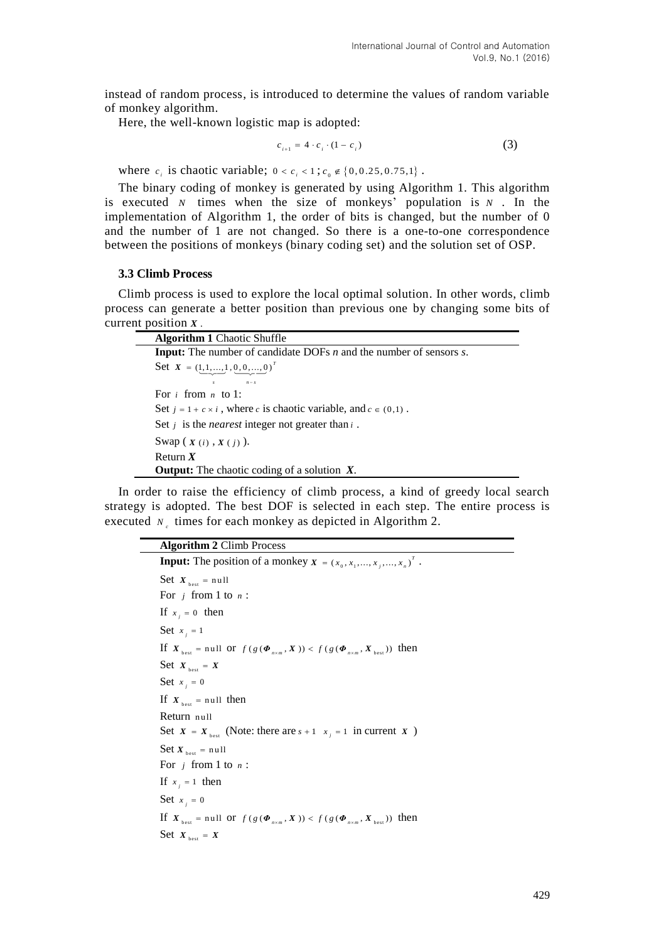instead of random process, is introduced to determine the values of random variable of monkey algorithm.

Here, the well-known logistic map is adopted:

$$
c_{i+1} = 4 \cdot c_i \cdot (1 - c_i) \tag{3}
$$

where  $c_i$  is chaotic variable;  $0 < c_i < 1$ ;  $c_0 \notin \{0, 0.25, 0.75, 1\}$ .

The binary coding of monkey is generated by using Algorithm 1. This algorithm is executed  $N$  times when the size of monkeys' population is  $N$ . In the implementation of Algorithm 1, the order of bits is changed, but the number of 0 and the number of 1 are not changed. So there is a one-to-one correspondence between the positions of monkeys (binary coding set) and the solution set of OSP.

#### **3.3 Climb Process**

 $\overline{a}$ 

Climb process is used to explore the local optimal solution. In other words, climb process can generate a better position than previous one by changing some bits of current position *X* .

| <b>Algorithm 1 Chaotic Shuffle</b>                                             |
|--------------------------------------------------------------------------------|
| <b>Input:</b> The number of candidate DOFs $n$ and the number of sensors $s$ . |
| Set $X = (\underbrace{1,1,\ldots,1}_{}, \underbrace{0,0,\ldots,0}_{})^T$       |
| $n - s$<br>$\mathcal{S}$                                                       |
| For i from $n$ to 1:                                                           |
| Set $i = 1 + c \times i$ , where c is chaotic variable, and $c \in (0,1)$ .    |
| Set <i>i</i> is the <i>nearest</i> integer not greater than $i$ .              |
| Swap $(X(i), X(j))$ .                                                          |
| Return $X$                                                                     |
| <b>Output:</b> The chaotic coding of a solution $X$ .                          |

In order to raise the efficiency of climb process, a kind of greedy local search strategy is adopted. The best DOF is selected in each step. The entire process is executed  $N_c$  times for each monkey as depicted in Algorithm 2.

#### **Algorithm 2** Climb Process

| <b>Input:</b> The position of a monkey $X = (x_0, x_1, \dots, x_j, \dots, x_n)^T$ .                                     |
|-------------------------------------------------------------------------------------------------------------------------|
| Set $X_{\text{best}} = \text{null}$                                                                                     |
| For j from 1 to $n$ :                                                                                                   |
| If $x_i = 0$ then                                                                                                       |
| Set $x_i = 1$                                                                                                           |
| If $X_{best}$ = null or $f(g(\boldsymbol{\Phi}_{n \times m}, X)) < f(g(\boldsymbol{\Phi}_{n \times m}, X_{best}))$ then |
| Set $X_{best} = X$                                                                                                      |
| Set $x_i = 0$                                                                                                           |
| If $X_{best} = null$ then                                                                                               |
| Return null                                                                                                             |
| Set $X = X_{best}$ (Note: there are $s + 1$ , $x_i = 1$ in current X)                                                   |
| Set $X_{best}$ = null                                                                                                   |
| For $j$ from 1 to $n$ :                                                                                                 |
| If $x_i = 1$ then                                                                                                       |
| Set $x_i = 0$                                                                                                           |
| If $X_{best}$ = null or $f(g(\boldsymbol{\Phi}_{n \times m}, X)) < f(g(\boldsymbol{\Phi}_{n \times m}, X_{best}))$ then |
| Set $X_{\text{best}} = X$                                                                                               |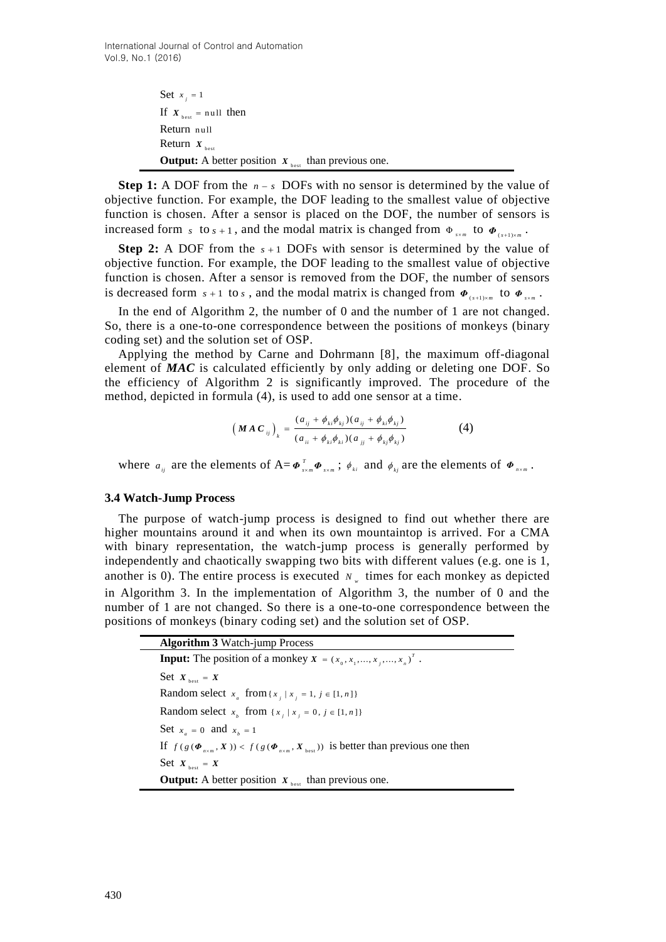International Journal of Control and Automation Vol.9, No.1 (2016)

> Set  $x_j = 1$ If  $X_{best} = null$  then Return null  $Return X_{best}$ **Output:** A better position  $X_{best}$  than previous one.

**Step 1:** A DOF from the  $n-s$  DOFs with no sensor is determined by the value of objective function. For example, the DOF leading to the smallest value of objective function is chosen. After a sensor is placed on the DOF, the number of sensors is increased form s to  $s + 1$ , and the modal matrix is changed from  $\Phi_{s \times m}$  to  $\Phi_{(s+1)\times m}$ .

**Step 2:** A DOF from the  $s + 1$  DOFs with sensor is determined by the value of objective function. For example, the DOF leading to the smallest value of objective function is chosen. After a sensor is removed from the DOF, the number of sensors is decreased form  $s + 1$  to  $s$ , and the modal matrix is changed from  $\Phi_{(s+1)\times m}$  to  $\Phi_{s\times m}$ .

In the end of Algorithm 2, the number of 0 and the number of 1 are not changed. So, there is a one-to-one correspondence between the positions of monkeys (binary coding set) and the solution set of OSP.

Applying the method by Carne and Dohrmann [8], the maximum off-diagonal element of *MAC* is calculated efficiently by only adding or deleting one DOF. So the efficiency of Algorithm 2 is significantly improved. The procedure of the method, depicted in formula (4), is used to add one sensor at a time.

$$
\left(\boldsymbol{M}\boldsymbol{A}\boldsymbol{C}_{ij}\right)_k = \frac{(a_{ij} + \phi_{ki}\phi_{kj})(a_{ij} + \phi_{ki}\phi_{kj})}{(a_{ii} + \phi_{ki}\phi_{ki})(a_{jj} + \phi_{kj}\phi_{kj})}
$$
(4)

where  $a_{ij}$  are the elements of  $A = \boldsymbol{\phi}_{s \times m}^T \boldsymbol{\phi}_{s \times m}$ ;  $\phi_{ki}$  and  $\phi_{kj}$  are the elements of  $\boldsymbol{\phi}_{n \times m}$ .

### **3.4 Watch-Jump Process**

The purpose of watch-jump process is designed to find out whether there are higher mountains around it and when its own mountaintop is arrived. For a CMA with binary representation, the watch-jump process is generally performed by independently and chaotically swapping two bits with different values (e.g. one is 1, another is 0). The entire process is executed  $N_{\nu}$  times for each monkey as depicted in Algorithm 3. In the implementation of Algorithm 3, the number of 0 and the number of 1 are not changed. So there is a one-to-one correspondence between the positions of monkeys (binary coding set) and the solution set of OSP.

| <b>Algorithm 3</b> Watch-jump Process                                                                                          |
|--------------------------------------------------------------------------------------------------------------------------------|
| <b>Input:</b> The position of a monkey $X = (x_0, x_1, \dots, x_n, \dots, x_n)^T$ .                                            |
| Set $X_{best} = X$                                                                                                             |
| Random select $x_{a}$ from { $x_{i}$   $x_{i}$ = 1, $j \in [1, n]$ }                                                           |
| Random select $x_{i}$ from $\{x_{i}   x_{i} = 0, j \in [1, n]\}$                                                               |
| Set $x_a = 0$ and $x_b = 1$                                                                                                    |
| If $f(g(\boldsymbol{\Phi}_{n \times m}, X)) < f(g(\boldsymbol{\Phi}_{n \times m}, X_{best}))$ is better than previous one then |
| Set $X_{best} = X$                                                                                                             |
| <b>Output:</b> A better position $X_{best}$ than previous one.                                                                 |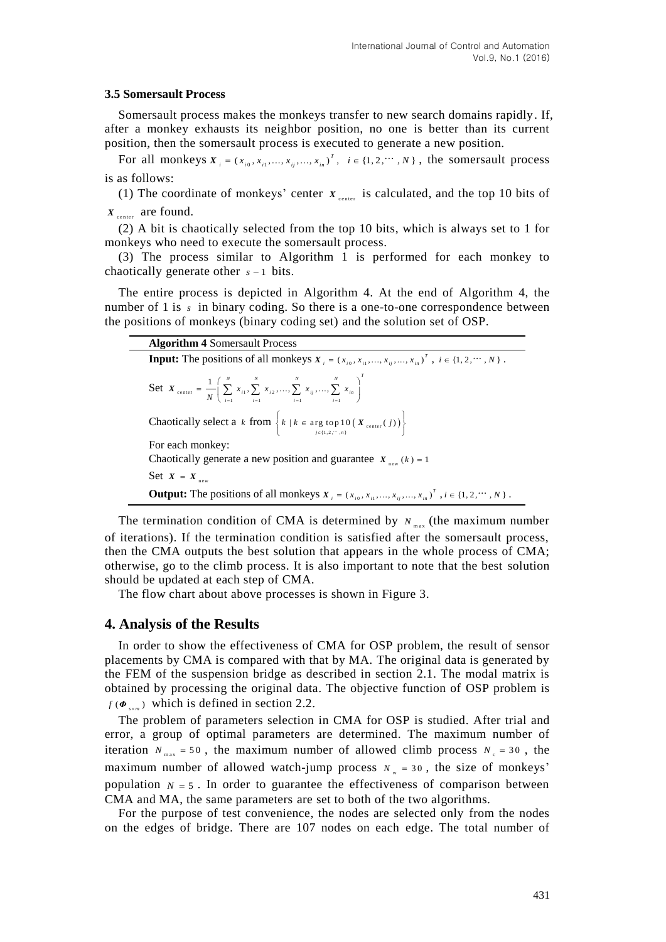### **3.5 Somersault Process**

Somersault process makes the monkeys transfer to new search domains rapidly. If, after a monkey exhausts its neighbor position, no one is better than its current position, then the somersault process is executed to generate a new position.

For all monkeys  $X_i = (x_{i_0}, x_{i_1},...,x_{i_j},...,x_{i_n})^T$ ,  $i \in \{1, 2, ..., N\}$ , the somersault process is as follows:

(1) The coordinate of monkeys' center  $X_{\text{center}}$  is calculated, and the top 10 bits of *X*<sub>center</sub> are found.

(2) A bit is chaotically selected from the top 10 bits, which is always set to 1 for monkeys who need to execute the somersault process.

(3) The process similar to Algorithm 1 is performed for each monkey to chaotically generate other  $s - 1$  bits.

The entire process is depicted in Algorithm 4. At the end of Algorithm 4, the number of 1 is s in binary coding. So there is a one-to-one correspondence between the positions of monkeys (binary coding set) and the solution set of OSP.

| <b>Algorithm 4 Somersault Process</b>                                                                                                                             |
|-------------------------------------------------------------------------------------------------------------------------------------------------------------------|
| <b>Input:</b> The positions of all monkeys $X_i = (x_{i0}, x_{i1},, x_{i1},, x_{in})^T$ , $i \in \{1, 2, \dots, N\}$ .                                            |
| Set $X_{\text{center}} = \frac{1}{N} \left( \sum_{i=1}^{N} x_{i1}, \sum_{i=1}^{N} x_{i2}, \dots, \sum_{i=1}^{N} x_{ij}, \dots, \sum_{i=1}^{N} x_{in} \right)^{T}$ |
| Chaotically select a k from $\left\{ k \mid k \in \arg \text{top } 10 \left( X_{\text{center}}(j) \right) \right\}$                                               |
| For each monkey:                                                                                                                                                  |
| Chaotically generate a new position and guarantee $X_{new}(k) = 1$                                                                                                |
| Set $X = X_{new}$                                                                                                                                                 |
| <b>Output:</b> The positions of all monkeys $X_i = (x_{i0}, x_{i1},, x_{ij},, x_{in})^T$ , $i \in \{1, 2, , N\}$ .                                                |

The termination condition of CMA is determined by  $N_{\text{max}}$  (the maximum number of iterations). If the termination condition is satisfied after the somersault process, then the CMA outputs the best solution that appears in the whole process of CMA; otherwise, go to the climb process. It is also important to note that the best solution should be updated at each step of CMA.

The flow chart about above processes is shown in Figure 3.

## **4. Analysis of the Results**

In order to show the effectiveness of CMA for OSP problem, the result of sensor placements by CMA is compared with that by MA. The original data is generated by the FEM of the suspension bridge as described in section 2.1. The modal matrix is obtained by processing the original data. The objective function of OSP problem is  $f(\boldsymbol{\Phi}_{s \times m})$  which is defined in section 2.2.

The problem of parameters selection in CMA for OSP is studied. After trial and error, a group of optimal parameters are determined. The maximum number of iteration  $N_{\text{max}} = 50$ , the maximum number of allowed climb process  $N_c = 30$ , the maximum number of allowed watch-jump process  $N<sub>w</sub> = 30$ , the size of monkeys' population  $N = 5$ . In order to guarantee the effectiveness of comparison between CMA and MA, the same parameters are set to both of the two algorithms.

For the purpose of test convenience, the nodes are selected only from the nodes on the edges of bridge. There are 107 nodes on each edge. The total number of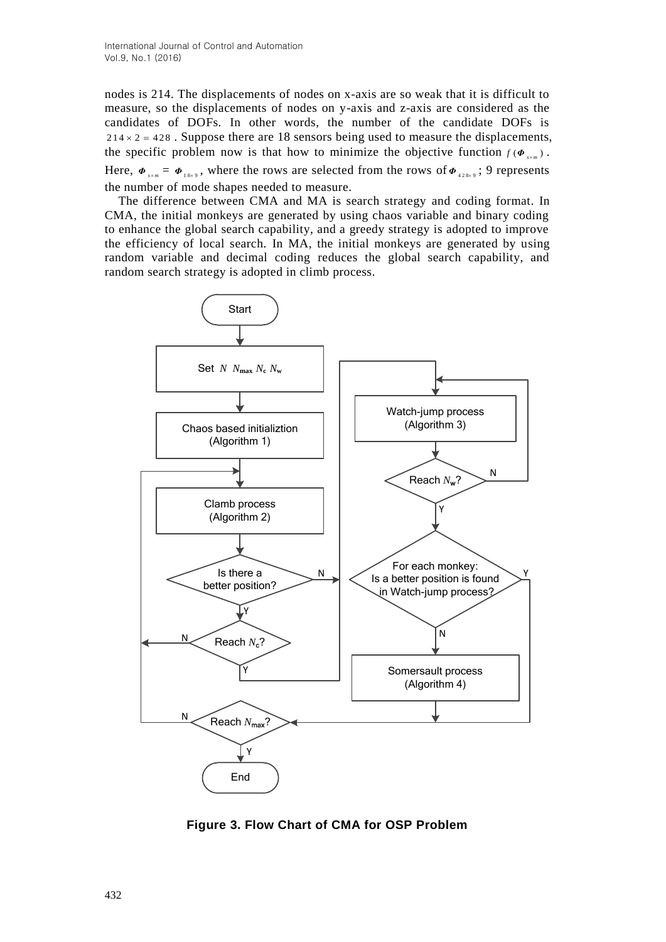nodes is 214. The displacements of nodes on x-axis are so weak that it is difficult to measure, so the displacements of nodes on y-axis and z-axis are considered as the candidates of DOFs. In other words, the number of the candidate DOFs is  $214 \times 2 = 428$ . Suppose there are 18 sensors being used to measure the displacements, the specific problem now is that how to minimize the objective function  $f(\boldsymbol{\Phi}_{s \times m})$ . Here,  $\Phi_{s \times m} = \Phi_{18 \times 9}$ , where the rows are selected from the rows of  $\Phi_{428 \times 9}$ ; 9 represents the number of mode shapes needed to measure.

The difference between CMA and MA is search strategy and coding format. In CMA, the initial monkeys are generated by using chaos variable and binary coding to enhance the global search capability, and a greedy strategy is adopted to improve the efficiency of local search. In MA, the initial monkeys are generated by using random variable and decimal coding reduces the global search capability, and random search strategy is adopted in climb process.



**Figure 3. Flow Chart of CMA for OSP Problem**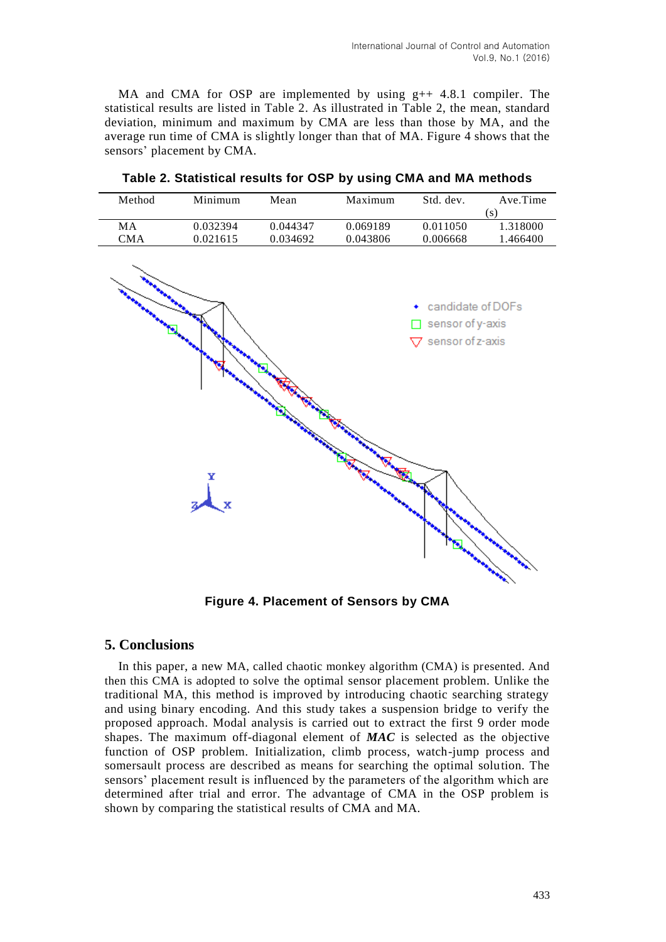MA and CMA for OSP are implemented by using  $g_{++}$  4.8.1 compiler. The statistical results are listed in Table 2. As illustrated in Table 2, the mean, standard deviation, minimum and maximum by CMA are less than those by MA, and the average run time of CMA is slightly longer than that of MA. Figure 4 shows that the sensors' placement by CMA.

| Method     | Minimum  | Mean     | Maximum  | Std. dev. | Ave.Time |
|------------|----------|----------|----------|-----------|----------|
|            |          |          |          |           | . S !    |
| MA         | 0.032394 | 0.044347 | 0.069189 | 0.011050  | 1.318000 |
| <b>CMA</b> | 0.021615 | 0.034692 | 0.043806 | 0.006668  | 1.466400 |
|            |          |          |          |           |          |

**Table 2. Statistical results for OSP by using CMA and MA methods**



**Figure 4. Placement of Sensors by CMA**

# **5. Conclusions**

In this paper, a new MA, called chaotic monkey algorithm (CMA) is presented. And then this CMA is adopted to solve the optimal sensor placement problem. Unlike the traditional MA, this method is improved by introducing chaotic searching strategy and using binary encoding. And this study takes a suspension bridge to verify the proposed approach. Modal analysis is carried out to extract the first 9 order mode shapes. The maximum off-diagonal element of *MAC* is selected as the objective function of OSP problem. Initialization, climb process, watch-jump process and somersault process are described as means for searching the optimal solution. The sensors' placement result is influenced by the parameters of the algorithm which are determined after trial and error. The advantage of CMA in the OSP problem is shown by comparing the statistical results of CMA and MA.